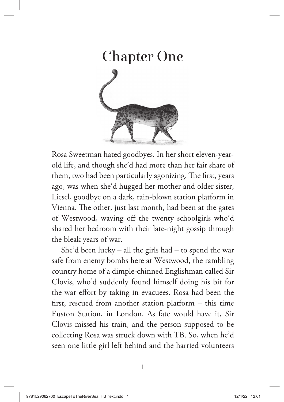

Rosa Sweetman hated goodbyes. In her short eleven-yearold life, and though she'd had more than her fair share of them, two had been particularly agonizing. The first, years ago, was when she'd hugged her mother and older sister, Liesel, goodbye on a dark, rain-blown station platform in Vienna. The other, just last month, had been at the gates of Westwood, waving off the twenty schoolgirls who'd shared her bedroom with their late-night gossip through the bleak years of war.

She'd been lucky – all the girls had – to spend the war safe from enemy bombs here at Westwood, the rambling country home of a dimple-chinned Englishman called Sir Clovis, who'd suddenly found himself doing his bit for the war effort by taking in evacuees. Rosa had been the first, rescued from another station platform – this time Euston Station, in London. As fate would have it, Sir Clovis missed his train, and the person supposed to be collecting Rosa was struck down with TB. So, when he'd seen one little girl left behind and the harried volunteers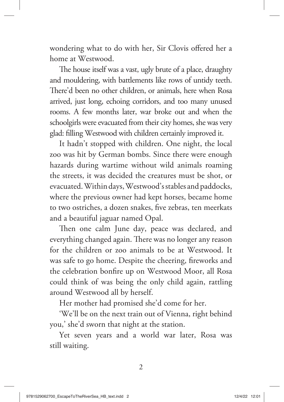wondering what to do with her, Sir Clovis offered her a home at Westwood.

The house itself was a vast, ugly brute of a place, draughty and mouldering, with battlements like rows of untidy teeth. There'd been no other children, or animals, here when Rosa arrived, just long, echoing corridors, and too many unused rooms. A few months later, war broke out and when the schoolgirls were evacuated from their city homes, she was very glad: filling Westwood with children certainly improved it.

It hadn't stopped with children. One night, the local zoo was hit by German bombs. Since there were enough hazards during wartime without wild animals roaming the streets, it was decided the creatures must be shot, or evacuated. Within days, Westwood's stables and paddocks, where the previous owner had kept horses, became home to two ostriches, a dozen snakes, five zebras, ten meerkats and a beautiful jaguar named Opal.

Then one calm June day, peace was declared, and everything changed again. There was no longer any reason for the children or zoo animals to be at Westwood. It was safe to go home. Despite the cheering, fireworks and the celebration bonfire up on Westwood Moor, all Rosa could think of was being the only child again, rattling around Westwood all by herself.

Her mother had promised she'd come for her.

'We'll be on the next train out of Vienna, right behind you,' she'd sworn that night at the station.

Yet seven years and a world war later, Rosa was still waiting.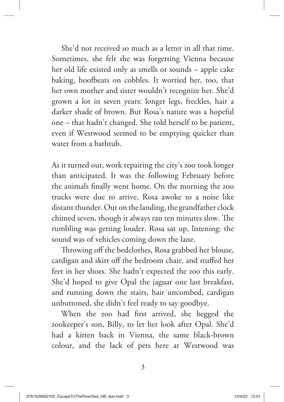She'd not received so much as a letter in all that time. Sometimes, she felt she was forgetting Vienna because her old life existed only as smells or sounds – apple cake baking, hoofbeats on cobbles. It worried her, too, that her own mother and sister wouldn't recognize her. She'd grown a lot in seven years: longer legs, freckles, hair a darker shade of brown. But Rosa's nature was a hopeful one – that hadn't changed. She told herself to be patient, even if Westwood seemed to be emptying quicker than water from a bathtub.

As it turned out, work repairing the city's zoo took longer than anticipated. It was the following February before the animals finally went home. On the morning the zoo trucks were due to arrive, Rosa awoke to a noise like distant thunder. Out on the landing, the grandfather clock chimed seven, though it always ran ten minutes slow. The rumbling was getting louder. Rosa sat up, listening: the sound was of vehicles coming down the lane.

Throwing off the bedclothes, Rosa grabbed her blouse, cardigan and skirt off the bedroom chair, and stuffed her feet in her shoes. She hadn't expected the zoo this early. She'd hoped to give Opal the jaguar one last breakfast, and running down the stairs, hair uncombed, cardigan unbuttoned, she didn't feel ready to say goodbye.

When the zoo had first arrived, she begged the zookeeper's son, Billy, to let her look after Opal. She'd had a kitten back in Vienna, the same black-brown colour, and the lack of pets here at Westwood was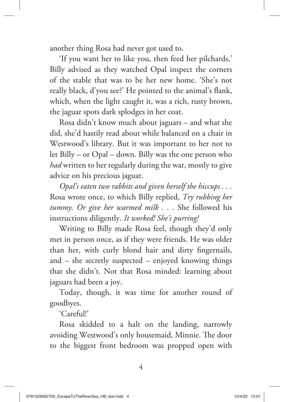another thing Rosa had never got used to.

'If you want her to like you, then feed her pilchards,' Billy advised as they watched Opal inspect the corners of the stable that was to be her new home. 'She's not really black, d'you see?' He pointed to the animal's flank, which, when the light caught it, was a rich, rusty brown, the jaguar spots dark splodges in her coat.

Rosa didn't know much about jaguars – and what she did, she'd hastily read about while balanced on a chair in Westwood's library. But it was important to her not to let Billy – or Opal – down. Billy was the one person who *had* written to her regularly during the war, mostly to give advice on his precious jaguar.

*Opal's eaten two rabbits and given herself the hiccups . . .*  Rosa wrote once, to which Billy replied, *Try rubbing her tummy. Or give her warmed milk . . .* She followed his instructions diligently. *It worked! She's purring!*

Writing to Billy made Rosa feel, though they'd only met in person once, as if they were friends. He was older than her, with curly blond hair and dirty fingernails, and – she secretly suspected – enjoyed knowing things that she didn't. Not that Rosa minded: learning about jaguars had been a joy.

Today, though, it was time for another round of goodbyes.

'Careful!'

Rosa skidded to a halt on the landing, narrowly avoiding Westwood's only housemaid, Minnie. The door to the biggest front bedroom was propped open with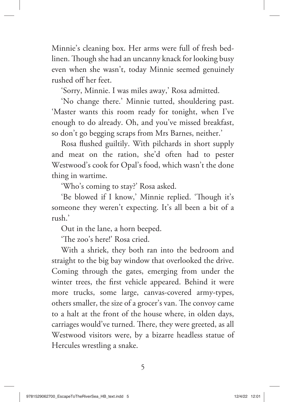Minnie's cleaning box. Her arms were full of fresh bedlinen. Though she had an uncanny knack for looking busy even when she wasn't, today Minnie seemed genuinely rushed off her feet.

'Sorry, Minnie. I was miles away,' Rosa admitted.

'No change there.' Minnie tutted, shouldering past. 'Master wants this room ready for tonight, when I've enough to do already. Oh, and you've missed breakfast, so don't go begging scraps from Mrs Barnes, neither.'

Rosa flushed guiltily. With pilchards in short supply and meat on the ration, she'd often had to pester Westwood's cook for Opal's food, which wasn't the done thing in wartime.

'Who's coming to stay?' Rosa asked.

'Be blowed if I know,' Minnie replied. 'Though it's someone they weren't expecting. It's all been a bit of a rush.'

Out in the lane, a horn beeped.

'The zoo's here!' Rosa cried.

With a shriek, they both ran into the bedroom and straight to the big bay window that overlooked the drive. Coming through the gates, emerging from under the winter trees, the first vehicle appeared. Behind it were more trucks, some large, canvas-covered army-types, others smaller, the size of a grocer's van. The convoy came to a halt at the front of the house where, in olden days, carriages would've turned. There, they were greeted, as all Westwood visitors were, by a bizarre headless statue of Hercules wrestling a snake.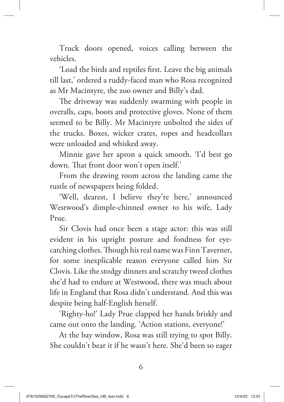Truck doors opened, voices calling between the vehicles.

'Load the birds and reptiles first. Leave the big animals till last,' ordered a ruddy-faced man who Rosa recognized as Mr Macintyre, the zoo owner and Billy's dad.

The driveway was suddenly swarming with people in overalls, caps, boots and protective gloves. None of them seemed to be Billy. Mr Macintyre unbolted the sides of the trucks. Boxes, wicker crates, ropes and headcollars were unloaded and whisked away.

Minnie gave her apron a quick smooth. 'I'd best go down. That front door won't open itself.'

From the drawing room across the landing came the rustle of newspapers being folded.

'Well, dearest, I believe they're here,' announced Westwood's dimple-chinned owner to his wife, Lady Prue.

Sir Clovis had once been a stage actor: this was still evident in his upright posture and fondness for eyecatching clothes. Though his real name was Finn Taverner, for some inexplicable reason everyone called him Sir Clovis. Like the stodgy dinners and scratchy tweed clothes she'd had to endure at Westwood, there was much about life in England that Rosa didn't understand. And this was despite being half-English herself.

'Righty-ho!' Lady Prue clapped her hands briskly and came out onto the landing. 'Action stations, everyone!'

At the bay window, Rosa was still trying to spot Billy. She couldn't bear it if he wasn't here. She'd been so eager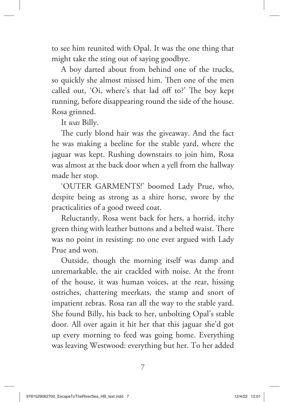to see him reunited with Opal. It was the one thing that might take the sting out of saying goodbye.

A boy darted about from behind one of the trucks, so quickly she almost missed him. Then one of the men called out, 'Oi, where's that lad off to?' The boy kept running, before disappearing round the side of the house. Rosa grinned.

It *was* Billy.

The curly blond hair was the giveaway. And the fact he was making a beeline for the stable yard, where the jaguar was kept. Rushing downstairs to join him, Rosa was almost at the back door when a yell from the hallway made her stop.

'OUTER GARMENTS!' boomed Lady Prue, who, despite being as strong as a shire horse, swore by the practicalities of a good tweed coat.

Reluctantly, Rosa went back for hers, a horrid, itchy green thing with leather buttons and a belted waist. There was no point in resisting: no one ever argued with Lady Prue and won.

Outside, though the morning itself was damp and unremarkable, the air crackled with noise. At the front of the house, it was human voices, at the rear, hissing ostriches, chattering meerkats, the stamp and snort of impatient zebras. Rosa ran all the way to the stable yard. She found Billy, his back to her, unbolting Opal's stable door. All over again it hit her that this jaguar she'd got up every morning to feed was going home. Everything was leaving Westwood: everything but her. To her added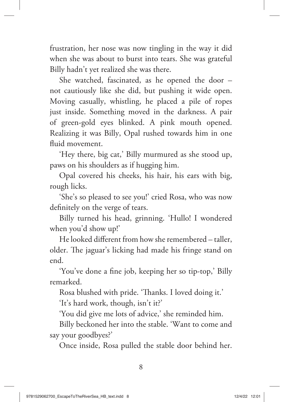frustration, her nose was now tingling in the way it did when she was about to burst into tears. She was grateful Billy hadn't yet realized she was there.

She watched, fascinated, as he opened the door – not cautiously like she did, but pushing it wide open. Moving casually, whistling, he placed a pile of ropes just inside. Something moved in the darkness. A pair of green-gold eyes blinked. A pink mouth opened. Realizing it was Billy, Opal rushed towards him in one fluid movement.

'Hey there, big cat,' Billy murmured as she stood up, paws on his shoulders as if hugging him.

Opal covered his cheeks, his hair, his ears with big, rough licks.

'She's so pleased to see you!' cried Rosa, who was now definitely on the verge of tears.

Billy turned his head, grinning. 'Hullo! I wondered when you'd show up!'

He looked different from how she remembered – taller, older. The jaguar's licking had made his fringe stand on end.

'You've done a fine job, keeping her so tip-top,' Billy remarked.

Rosa blushed with pride. 'Thanks. I loved doing it.'

'It's hard work, though, isn't it?'

'You did give me lots of advice,' she reminded him.

Billy beckoned her into the stable. 'Want to come and say your goodbyes?'

Once inside, Rosa pulled the stable door behind her.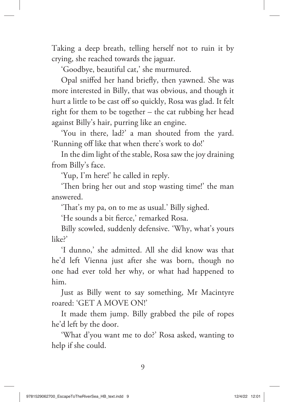Taking a deep breath, telling herself not to ruin it by crying, she reached towards the jaguar.

'Goodbye, beautiful cat,' she murmured.

Opal sniffed her hand briefly, then yawned. She was more interested in Billy, that was obvious, and though it hurt a little to be cast off so quickly, Rosa was glad. It felt right for them to be together – the cat rubbing her head against Billy's hair, purring like an engine.

'You in there, lad?' a man shouted from the yard. 'Running off like that when there's work to do!'

In the dim light of the stable, Rosa saw the joy draining from Billy's face.

'Yup, I'm here!' he called in reply.

'Then bring her out and stop wasting time!' the man answered.

'That's my pa, on to me as usual.' Billy sighed.

'He sounds a bit fierce,' remarked Rosa.

Billy scowled, suddenly defensive. 'Why, what's yours like?'

'I dunno,' she admitted. All she did know was that he'd left Vienna just after she was born, though no one had ever told her why, or what had happened to him.

Just as Billy went to say something, Mr Macintyre roared: 'GET A MOVE ON!'

It made them jump. Billy grabbed the pile of ropes he'd left by the door.

'What d'you want me to do?' Rosa asked, wanting to help if she could.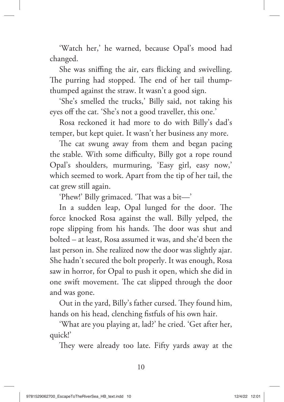'Watch her,' he warned, because Opal's mood had changed.

She was sniffing the air, ears flicking and swivelling. The purring had stopped. The end of her tail thumpthumped against the straw. It wasn't a good sign.

'She's smelled the trucks,' Billy said, not taking his eyes off the cat. 'She's not a good traveller, this one.'

Rosa reckoned it had more to do with Billy's dad's temper, but kept quiet. It wasn't her business any more.

The cat swung away from them and began pacing the stable. With some difficulty, Billy got a rope round Opal's shoulders, murmuring, 'Easy girl, easy now,' which seemed to work. Apart from the tip of her tail, the cat grew still again.

'Phew!' Billy grimaced. 'That was a bit—'

In a sudden leap, Opal lunged for the door. The force knocked Rosa against the wall. Billy yelped, the rope slipping from his hands. The door was shut and bolted – at least, Rosa assumed it was, and she'd been the last person in. She realized now the door was slightly ajar. She hadn't secured the bolt properly. It was enough, Rosa saw in horror, for Opal to push it open, which she did in one swift movement. The cat slipped through the door and was gone.

Out in the yard, Billy's father cursed. They found him, hands on his head, clenching fistfuls of his own hair.

'What are you playing at, lad?' he cried. 'Get after her, quick!'

They were already too late. Fifty yards away at the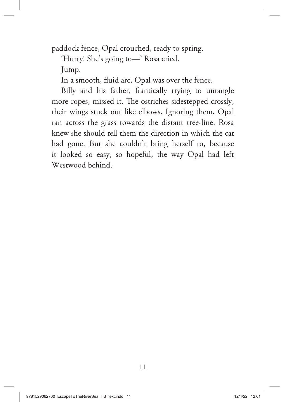paddock fence, Opal crouched, ready to spring.

'Hurry! She's going to—' Rosa cried.

Jump.

In a smooth, fluid arc, Opal was over the fence.

Billy and his father, frantically trying to untangle more ropes, missed it. The ostriches sidestepped crossly, their wings stuck out like elbows. Ignoring them, Opal ran across the grass towards the distant tree-line. Rosa knew she should tell them the direction in which the cat had gone. But she couldn't bring herself to, because it looked so easy, so hopeful, the way Opal had left Westwood behind.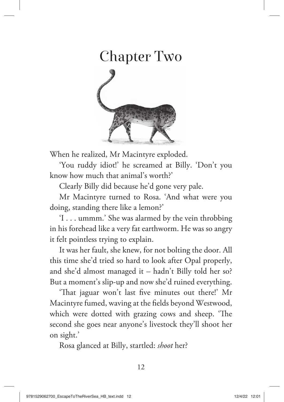

When he realized, Mr Macintyre exploded.

'You ruddy idiot!' he screamed at Billy. 'Don't you know how much that animal's worth?'

Clearly Billy did because he'd gone very pale.

Mr Macintyre turned to Rosa. 'And what were you doing, standing there like a lemon?'

'I . . . ummm.' She was alarmed by the vein throbbing in his forehead like a very fat earthworm. He was so angry it felt pointless trying to explain.

It was her fault, she knew, for not bolting the door. All this time she'd tried so hard to look after Opal properly, and she'd almost managed it – hadn't Billy told her so? But a moment's slip-up and now she'd ruined everything.

'That jaguar won't last five minutes out there!' Mr Macintyre fumed, waving at the fields beyond Westwood, which were dotted with grazing cows and sheep. 'The second she goes near anyone's livestock they'll shoot her on sight.'

Rosa glanced at Billy, startled: *shoot* her?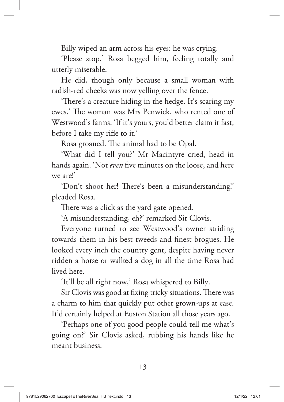Billy wiped an arm across his eyes: he was crying.

'Please stop,' Rosa begged him, feeling totally and utterly miserable.

He did, though only because a small woman with radish-red cheeks was now yelling over the fence.

'There's a creature hiding in the hedge. It's scaring my ewes.' The woman was Mrs Penwick, who rented one of Westwood's farms. 'If it's yours, you'd better claim it fast, before I take my rifle to it.'

Rosa groaned. The animal had to be Opal.

'What did I tell you?' Mr Macintyre cried, head in hands again. 'Not *even* five minutes on the loose, and here we are!'

'Don't shoot her! There's been a misunderstanding!' pleaded Rosa.

There was a click as the yard gate opened.

'A misunderstanding, eh?' remarked Sir Clovis.

Everyone turned to see Westwood's owner striding towards them in his best tweeds and finest brogues. He looked every inch the country gent, despite having never ridden a horse or walked a dog in all the time Rosa had lived here.

'It'll be all right now,' Rosa whispered to Billy.

Sir Clovis was good at fixing tricky situations. There was a charm to him that quickly put other grown-ups at ease. It'd certainly helped at Euston Station all those years ago.

'Perhaps one of you good people could tell me what's going on?' Sir Clovis asked, rubbing his hands like he meant business.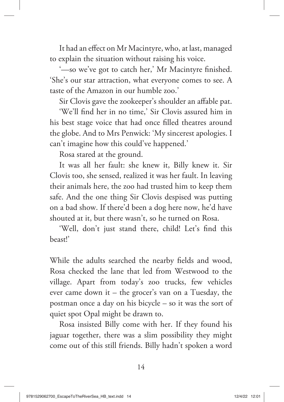It had an effect on Mr Macintyre, who, at last, managed to explain the situation without raising his voice.

'—so we've got to catch her,' Mr Macintyre finished. 'She's our star attraction, what everyone comes to see. A taste of the Amazon in our humble zoo.'

Sir Clovis gave the zookeeper's shoulder an affable pat. 'We'll find her in no time,' Sir Clovis assured him in his best stage voice that had once filled theatres around the globe. And to Mrs Penwick: 'My sincerest apologies. I can't imagine how this could've happened.'

Rosa stared at the ground.

It was all her fault: she knew it, Billy knew it. Sir Clovis too, she sensed, realized it was her fault. In leaving their animals here, the zoo had trusted him to keep them safe. And the one thing Sir Clovis despised was putting on a bad show. If there'd been a dog here now, he'd have shouted at it, but there wasn't, so he turned on Rosa.

'Well, don't just stand there, child! Let's find this beast!'

While the adults searched the nearby fields and wood, Rosa checked the lane that led from Westwood to the village. Apart from today's zoo trucks, few vehicles ever came down it – the grocer's van on a Tuesday, the postman once a day on his bicycle – so it was the sort of quiet spot Opal might be drawn to.

Rosa insisted Billy come with her. If they found his jaguar together, there was a slim possibility they might come out of this still friends. Billy hadn't spoken a word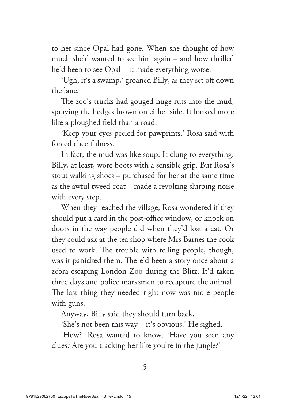to her since Opal had gone. When she thought of how much she'd wanted to see him again – and how thrilled he'd been to see Opal – it made everything worse.

'Ugh, it's a swamp,' groaned Billy, as they set off down the lane.

The zoo's trucks had gouged huge ruts into the mud, spraying the hedges brown on either side. It looked more like a ploughed field than a road.

'Keep your eyes peeled for pawprints,' Rosa said with forced cheerfulness.

In fact, the mud was like soup. It clung to everything. Billy, at least, wore boots with a sensible grip. But Rosa's stout walking shoes – purchased for her at the same time as the awful tweed coat – made a revolting slurping noise with every step.

When they reached the village, Rosa wondered if they should put a card in the post-office window, or knock on doors in the way people did when they'd lost a cat. Or they could ask at the tea shop where Mrs Barnes the cook used to work. The trouble with telling people, though, was it panicked them. There'd been a story once about a zebra escaping London Zoo during the Blitz. It'd taken three days and police marksmen to recapture the animal. The last thing they needed right now was more people with guns.

Anyway, Billy said they should turn back.

'She's not been this way – it's obvious.' He sighed.

'How?' Rosa wanted to know. 'Have you seen any clues? Are you tracking her like you're in the jungle?'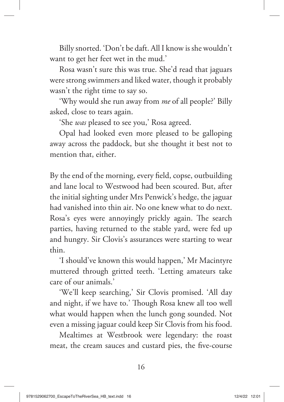Billy snorted. 'Don't be daft. All I know is she wouldn't want to get her feet wet in the mud.'

Rosa wasn't sure this was true. She'd read that jaguars were strong swimmers and liked water, though it probably wasn't the right time to say so.

'Why would she run away from *me* of all people?' Billy asked, close to tears again.

'She *was* pleased to see you,' Rosa agreed.

Opal had looked even more pleased to be galloping away across the paddock, but she thought it best not to mention that, either.

By the end of the morning, every field, copse, outbuilding and lane local to Westwood had been scoured. But, after the initial sighting under Mrs Penwick's hedge, the jaguar had vanished into thin air. No one knew what to do next. Rosa's eyes were annoyingly prickly again. The search parties, having returned to the stable yard, were fed up and hungry. Sir Clovis's assurances were starting to wear thin.

'I should've known this would happen,' Mr Macintyre muttered through gritted teeth. 'Letting amateurs take care of our animals.'

'We'll keep searching,' Sir Clovis promised. 'All day and night, if we have to.' Though Rosa knew all too well what would happen when the lunch gong sounded. Not even a missing jaguar could keep Sir Clovis from his food.

Mealtimes at Westbrook were legendary: the roast meat, the cream sauces and custard pies, the five-course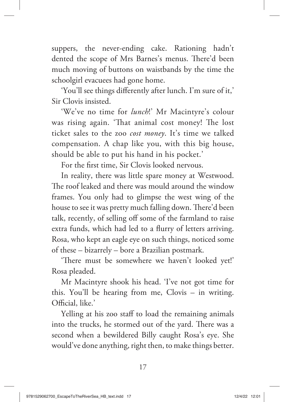suppers, the never-ending cake. Rationing hadn't dented the scope of Mrs Barnes's menus. There'd been much moving of buttons on waistbands by the time the schoolgirl evacuees had gone home.

'You'll see things differently after lunch. I'm sure of it,' Sir Clovis insisted.

'We've no time for *lunch*!' Mr Macintyre's colour was rising again. 'That animal cost money! The lost ticket sales to the zoo *cost money*. It's time we talked compensation. A chap like you, with this big house, should be able to put his hand in his pocket.'

For the first time, Sir Clovis looked nervous.

In reality, there was little spare money at Westwood. The roof leaked and there was mould around the window frames. You only had to glimpse the west wing of the house to see it was pretty much falling down. There'd been talk, recently, of selling off some of the farmland to raise extra funds, which had led to a flurry of letters arriving. Rosa, who kept an eagle eye on such things, noticed some of these – bizarrely – bore a Brazilian postmark.

'There must be somewhere we haven't looked yet!' Rosa pleaded.

Mr Macintyre shook his head. 'I've not got time for this. You'll be hearing from me, Clovis – in writing. Official, like.'

Yelling at his zoo staff to load the remaining animals into the trucks, he stormed out of the yard. There was a second when a bewildered Billy caught Rosa's eye. She would've done anything, right then, to make things better.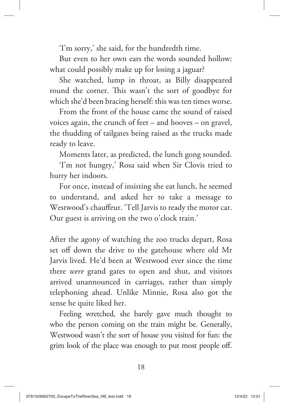'I'm sorry,' she said, for the hundredth time.

But even to her own ears the words sounded hollow: what could possibly make up for losing a jaguar?

She watched, lump in throat, as Billy disappeared round the corner. This wasn't the sort of goodbye for which she'd been bracing herself: this was ten times worse.

From the front of the house came the sound of raised voices again, the crunch of feet – and hooves – on gravel, the thudding of tailgates being raised as the trucks made ready to leave.

Moments later, as predicted, the lunch gong sounded.

'I'm not hungry,' Rosa said when Sir Clovis tried to hurry her indoors.

For once, instead of insisting she eat lunch, he seemed to understand, and asked her to take a message to Westwood's chauffeur. 'Tell Jarvis to ready the motor car. Our guest is arriving on the two o'clock train.'

After the agony of watching the zoo trucks depart, Rosa set off down the drive to the gatehouse where old Mr Jarvis lived. He'd been at Westwood ever since the time there *were* grand gates to open and shut, and visitors arrived unannounced in carriages, rather than simply telephoning ahead. Unlike Minnie, Rosa also got the sense he quite liked her.

Feeling wretched, she barely gave much thought to who the person coming on the train might be. Generally, Westwood wasn't the sort of house you visited for fun: the grim look of the place was enough to put most people off.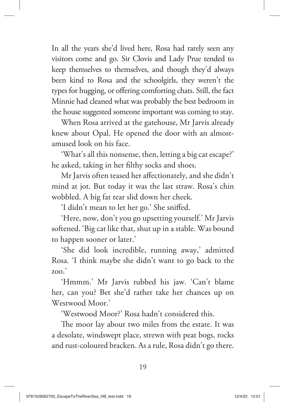In all the years she'd lived here, Rosa had rarely seen any visitors come and go. Sir Clovis and Lady Prue tended to keep themselves to themselves, and though they'd always been kind to Rosa and the schoolgirls, they weren't the types for hugging, or offering comforting chats. Still, the fact Minnie had cleaned what was probably the best bedroom in the house suggested someone important was coming to stay.

When Rosa arrived at the gatehouse, Mr Jarvis already knew about Opal. He opened the door with an almostamused look on his face.

'What's all this nonsense, then, letting a big cat escape?' he asked, taking in her filthy socks and shoes.

Mr Jarvis often teased her affectionately, and she didn't mind at jot. But today it was the last straw. Rosa's chin wobbled. A big fat tear slid down her cheek.

'I didn't mean to let her go.' She sniffed.

'Here, now, don't you go upsetting yourself.' Mr Jarvis softened. 'Big cat like that, shut up in a stable. Was bound to happen sooner or later.'

'She did look incredible, running away,' admitted Rosa. 'I think maybe she didn't want to go back to the zoo.'

'Hmmm.' Mr Jarvis rubbed his jaw. 'Can't blame her, can you? Bet she'd rather take her chances up on Westwood Moor.'

'Westwood Moor?' Rosa hadn't considered this.

The moor lay about two miles from the estate. It was a desolate, windswept place, strewn with peat bogs, rocks and rust-coloured bracken. As a rule, Rosa didn't go there.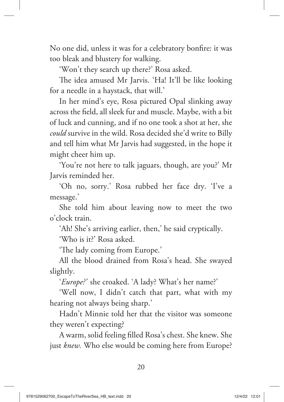No one did, unless it was for a celebratory bonfire: it was too bleak and blustery for walking.

'Won't they search up there?' Rosa asked.

The idea amused Mr Jarvis. 'Ha! It'll be like looking for a needle in a haystack, that will.'

In her mind's eye, Rosa pictured Opal slinking away across the field, all sleek fur and muscle. Maybe, with a bit of luck and cunning, and if no one took a shot at her, she *could* survive in the wild. Rosa decided she'd write to Billy and tell him what Mr Jarvis had suggested, in the hope it might cheer him up.

'You're not here to talk jaguars, though, are you?' Mr Jarvis reminded her.

'Oh no, sorry.' Rosa rubbed her face dry. 'I've a message.'

She told him about leaving now to meet the two o'clock train.

'Ah! She's arriving earlier, then,' he said cryptically.

'Who is it?' Rosa asked.

'The lady coming from Europe.'

All the blood drained from Rosa's head. She swayed slightly.

'*Europe?*' she croaked. 'A lady? What's her name?'

'Well now, I didn't catch that part, what with my hearing not always being sharp.'

Hadn't Minnie told her that the visitor was someone they weren't expecting?

A warm, solid feeling filled Rosa's chest. She knew. She just *knew.* Who else would be coming here from Europe?